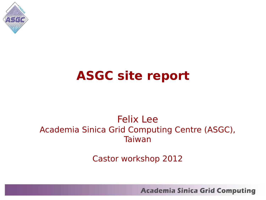

### **ASGC site report**

#### Felix Lee Academia Sinica Grid Computing Centre (ASGC), Taiwan

Castor workshop 2012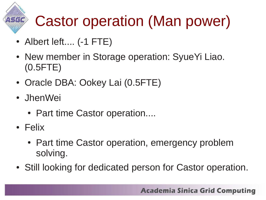# Castor operation (Man power)

- Albert left.... (-1 FTE)
- New member in Storage operation: SyueYi Liao. (0.5FTE)
- Oracle DBA: Ookey Lai (0.5FTE)
- JhenWei
	- Part time Castor operation....
- Felix
	- Part time Castor operation, emergency problem solving.
- Still looking for dedicated person for Castor operation.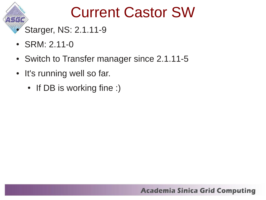### Current Castor SW

Starger, NS: 2.1.11-9

- $SRM: 2.11-0$
- Switch to Transfer manager since 2.1.11-5
- It's running well so far.
	- If DB is working fine :)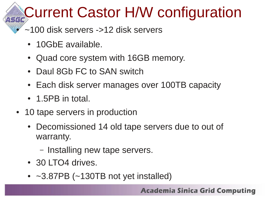# **Current Castor H/W configuration**

- $\sim$ 100 disk servers ->12 disk servers
	- 10GbE available.
	- Quad core system with 16GB memory.
	- Daul 8Gb FC to SAN switch
	- Each disk server manages over 100TB capacity
	- $\cdot$  1.5PB in total.
- 10 tape servers in production
	- Decomissioned 14 old tape servers due to out of warranty.
		- Installing new tape servers.
	- 30 LTO4 drives.
	- $\cdot$  ~3.87PB (~130TB not yet installed)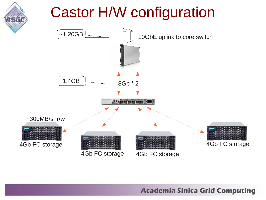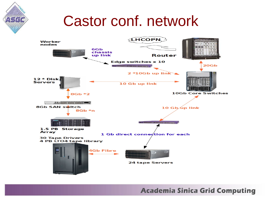### Castor conf. network

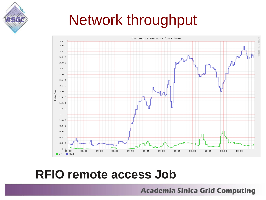



#### **RFIO remote access Job**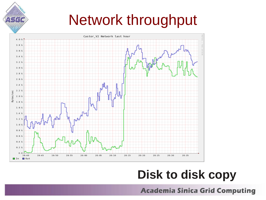### Network throughput



#### **Disk to disk copy**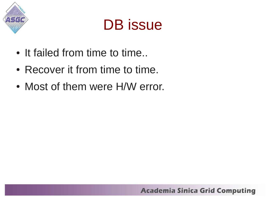



- It failed from time to time...
- Recover it from time to time.
- Most of them were H/W error.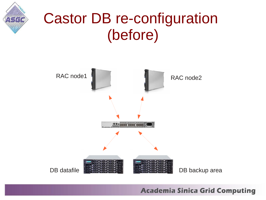

### Castor DB re-configuration (before)

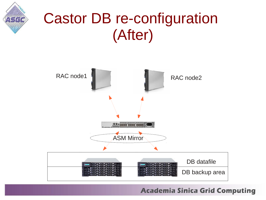

### Castor DB re-configuration (After)

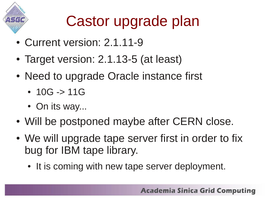

## Castor upgrade plan

- Current version: 2.1.11-9
- Target version: 2.1.13-5 (at least)
- Need to upgrade Oracle instance first
	- $10G \rightarrow 11G$
	- On its way...
- Will be postponed maybe after CERN close.
- We will upgrade tape server first in order to fix bug for IBM tape library.
	- It is coming with new tape server deployment.